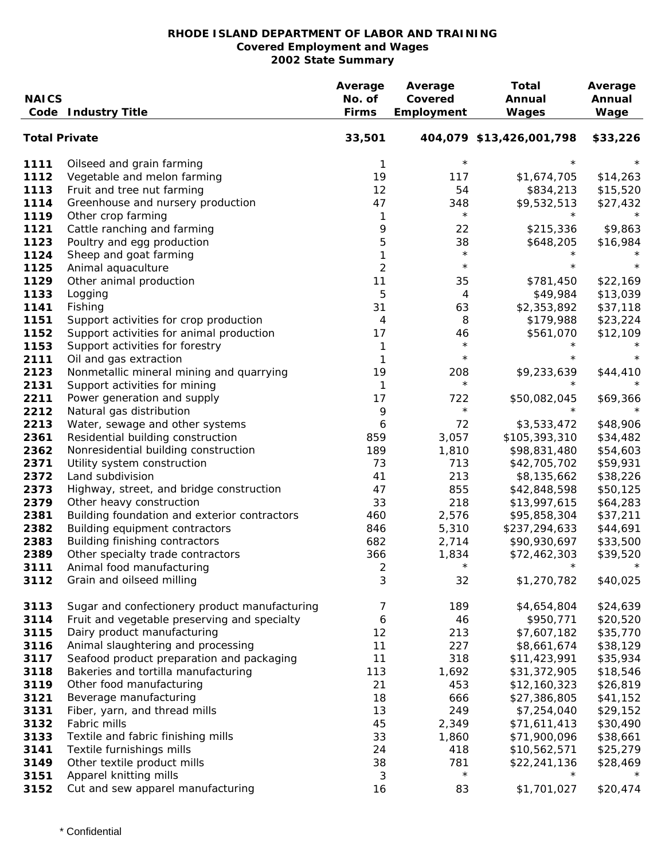| <b>NAICS</b>         | <b>Code Industry Title</b>                    | Average<br>No. of<br><b>Firms</b> | Average<br>Covered<br>Employment | Total<br>Annual<br>Wages | Average<br>Annual<br>Wage |
|----------------------|-----------------------------------------------|-----------------------------------|----------------------------------|--------------------------|---------------------------|
| <b>Total Private</b> |                                               | 33,501                            |                                  | 404,079 \$13,426,001,798 | \$33,226                  |
| 1111                 | Oilseed and grain farming                     | 1                                 | $^\star$                         | $^\star$                 | $^\star$                  |
| 1112                 | Vegetable and melon farming                   | 19                                | 117                              | \$1,674,705              | \$14,263                  |
| 1113                 | Fruit and tree nut farming                    | 12                                | 54                               | \$834,213                | \$15,520                  |
| 1114                 | Greenhouse and nursery production             | 47                                | 348                              | \$9,532,513              | \$27,432                  |
| 1119                 | Other crop farming                            | 1                                 | $\star$                          | $^\star$                 |                           |
| 1121                 | Cattle ranching and farming                   | 9                                 | 22                               | \$215,336                | \$9,863                   |
| 1123                 | Poultry and egg production                    | 5                                 | 38                               | \$648,205                | \$16,984                  |
| 1124                 | Sheep and goat farming                        | 1                                 | $\star$                          | $^\star$                 |                           |
| 1125                 | Animal aquaculture                            | $\overline{2}$                    | $\star$                          | $^\star$                 | $^\star$                  |
| 1129                 | Other animal production                       | 11                                | 35                               | \$781,450                | \$22,169                  |
| 1133                 | Logging                                       | 5                                 | 4                                | \$49,984                 | \$13,039                  |
| 1141                 | Fishing                                       | 31                                | 63                               | \$2,353,892              | \$37,118                  |
| 1151                 | Support activities for crop production        | 4                                 | 8                                | \$179,988                | \$23,224                  |
| 1152                 | Support activities for animal production      | 17                                | 46                               | \$561,070                | \$12,109                  |
| 1153                 | Support activities for forestry               | 1                                 | $\star$                          | $^\star$                 |                           |
| 2111                 | Oil and gas extraction                        | 1                                 | $\star$                          | $\star$                  | $\star$                   |
| 2123                 | Nonmetallic mineral mining and quarrying      | 19                                | 208                              | \$9,233,639              | \$44,410                  |
| 2131                 | Support activities for mining                 | 1                                 | $\star$                          |                          |                           |
| 2211                 | Power generation and supply                   | 17                                | 722                              | \$50,082,045             | \$69,366                  |
| 2212                 | Natural gas distribution                      | 9                                 | $\star$                          |                          |                           |
| 2213                 | Water, sewage and other systems               | 6                                 | 72                               | \$3,533,472              | \$48,906                  |
| 2361                 | Residential building construction             | 859                               | 3,057                            | \$105,393,310            | \$34,482                  |
| 2362                 | Nonresidential building construction          | 189                               | 1,810                            | \$98,831,480             | \$54,603                  |
| 2371                 | Utility system construction                   | 73                                | 713                              | \$42,705,702             | \$59,931                  |
| 2372                 | Land subdivision                              | 41                                | 213                              | \$8,135,662              | \$38,226                  |
| 2373                 | Highway, street, and bridge construction      | 47                                | 855                              | \$42,848,598             | \$50,125                  |
| 2379                 | Other heavy construction                      | 33                                | 218                              | \$13,997,615             | \$64,283                  |
| 2381                 | Building foundation and exterior contractors  | 460                               | 2,576                            | \$95,858,304             | \$37,211                  |
| 2382                 | Building equipment contractors                | 846                               | 5,310                            | \$237,294,633            | \$44,691                  |
| 2383                 | Building finishing contractors                | 682                               | 2,714                            | \$90,930,697             | \$33,500                  |
| 2389                 | Other specialty trade contractors             | 366                               | 1,834                            | \$72,462,303             | \$39,520                  |
| 3111                 | Animal food manufacturing                     | 2                                 |                                  |                          |                           |
| 3112                 | Grain and oilseed milling                     | 3                                 | 32                               | \$1,270,782              | \$40,025                  |
| 3113                 | Sugar and confectionery product manufacturing | 7                                 | 189                              | \$4,654,804              | \$24,639                  |
| 3114                 | Fruit and vegetable preserving and specialty  | 6                                 | 46                               | \$950,771                | \$20,520                  |
| 3115                 | Dairy product manufacturing                   | 12                                | 213                              | \$7,607,182              | \$35,770                  |
| 3116                 | Animal slaughtering and processing            | 11                                | 227                              | \$8,661,674              | \$38,129                  |
| 3117                 | Seafood product preparation and packaging     | 11                                | 318                              | \$11,423,991             | \$35,934                  |
| 3118                 | Bakeries and tortilla manufacturing           | 113                               | 1,692                            | \$31,372,905             | \$18,546                  |
| 3119                 | Other food manufacturing                      | 21                                | 453                              | \$12,160,323             | \$26,819                  |
| 3121                 | Beverage manufacturing                        | 18                                | 666                              | \$27,386,805             | \$41,152                  |
| 3131                 | Fiber, yarn, and thread mills                 | 13                                | 249                              | \$7,254,040              | \$29,152                  |
| 3132                 | Fabric mills                                  | 45                                | 2,349                            | \$71,611,413             | \$30,490                  |
| 3133                 | Textile and fabric finishing mills            | 33                                | 1,860                            | \$71,900,096             | \$38,661                  |
| 3141                 | Textile furnishings mills                     | 24                                | 418                              | \$10,562,571             | \$25,279                  |
| 3149                 | Other textile product mills                   | 38                                | 781                              | \$22,241,136             | \$28,469                  |
| 3151                 | Apparel knitting mills                        | 3                                 | $\star$                          | $^{\star}$               |                           |
| 3152                 | Cut and sew apparel manufacturing             | 16                                | 83                               | \$1,701,027              | \$20,474                  |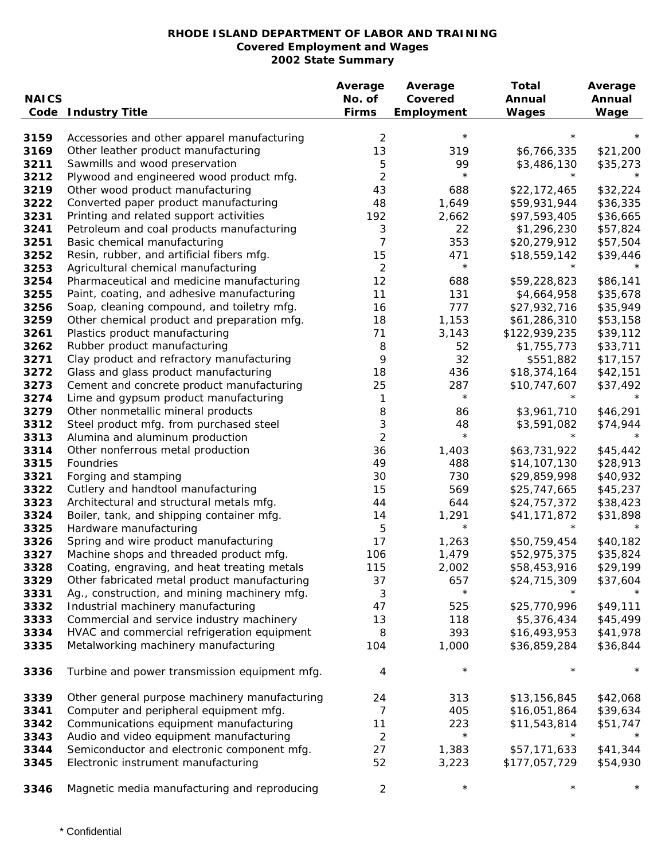| <b>NAICS</b> |                                                                                    | Average<br>No. of | Average<br>Covered | Total<br>Annual              | Average<br>Annual    |
|--------------|------------------------------------------------------------------------------------|-------------------|--------------------|------------------------------|----------------------|
|              | Code Industry Title                                                                | <b>Firms</b>      | Employment         | Wages                        | Wage                 |
|              |                                                                                    |                   | $^\star$           | $\star$                      |                      |
| 3159         | Accessories and other apparel manufacturing                                        | 2                 |                    |                              |                      |
| 3169         | Other leather product manufacturing                                                | 13                | 319                | \$6,766,335                  | \$21,200             |
| 3211         | Sawmills and wood preservation                                                     | 5                 | 99<br>$\star$      | \$3,486,130<br>$^\star$      | \$35,273             |
| 3212         | Plywood and engineered wood product mfg.<br>Other wood product manufacturing       | $\overline{2}$    |                    |                              |                      |
| 3219         |                                                                                    | 43<br>48          | 688                | \$22,172,465<br>\$59,931,944 | \$32,224             |
| 3222<br>3231 | Converted paper product manufacturing<br>Printing and related support activities   | 192               | 1,649<br>2,662     | \$97,593,405                 | \$36,335<br>\$36,665 |
| 3241         | Petroleum and coal products manufacturing                                          | 3                 | 22                 | \$1,296,230                  | \$57,824             |
| 3251         | Basic chemical manufacturing                                                       | 7                 | 353                | \$20,279,912                 | \$57,504             |
| 3252         | Resin, rubber, and artificial fibers mfg.                                          | 15                | 471                | \$18,559,142                 | \$39,446             |
| 3253         | Agricultural chemical manufacturing                                                | $\overline{c}$    | $\star$            | $^\star$                     |                      |
| 3254         | Pharmaceutical and medicine manufacturing                                          | 12                | 688                | \$59,228,823                 | \$86,141             |
| 3255         | Paint, coating, and adhesive manufacturing                                         | 11                | 131                | \$4,664,958                  | \$35,678             |
| 3256         | Soap, cleaning compound, and toiletry mfg.                                         | 16                | 777                | \$27,932,716                 | \$35,949             |
| 3259         | Other chemical product and preparation mfg.                                        | 18                | 1,153              | \$61,286,310                 | \$53,158             |
| 3261         | Plastics product manufacturing                                                     | 71                | 3,143              | \$122,939,235                | \$39,112             |
| 3262         | Rubber product manufacturing                                                       | 8                 | 52                 | \$1,755,773                  | \$33,711             |
| 3271         | Clay product and refractory manufacturing                                          | 9                 | 32                 | \$551,882                    | \$17,157             |
| 3272         | Glass and glass product manufacturing                                              | 18                | 436                | \$18,374,164                 | \$42,151             |
| 3273         | Cement and concrete product manufacturing                                          | 25                | 287                | \$10,747,607                 | \$37,492             |
| 3274         | Lime and gypsum product manufacturing                                              | 1                 | $\star$            | $^\star$                     |                      |
| 3279         | Other nonmetallic mineral products                                                 | 8                 | 86                 | \$3,961,710                  | \$46,291             |
| 3312         | Steel product mfg. from purchased steel                                            | 3                 | 48                 | \$3,591,082                  | \$74,944             |
| 3313         | Alumina and aluminum production                                                    | $\overline{2}$    | $\star$            | $^\star$                     |                      |
| 3314         | Other nonferrous metal production                                                  | 36                | 1,403              | \$63,731,922                 | \$45,442             |
| 3315         | Foundries                                                                          | 49                | 488                | \$14,107,130                 | \$28,913             |
| 3321         | Forging and stamping                                                               | 30                | 730                | \$29,859,998                 | \$40,932             |
| 3322         | Cutlery and handtool manufacturing                                                 | 15                | 569                | \$25,747,665                 | \$45,237             |
| 3323         | Architectural and structural metals mfg.                                           | 44                | 644                | \$24,757,372                 | \$38,423             |
| 3324         | Boiler, tank, and shipping container mfg.                                          | 14                | 1,291              | \$41,171,872                 | \$31,898             |
| 3325         | Hardware manufacturing                                                             | 5                 | $^\star$           | $^\star$                     |                      |
| 3326         | Spring and wire product manufacturing                                              | 17                | 1,263              | \$50,759,454                 | \$40,182             |
| 3327         | Machine shops and threaded product mfg.                                            | 106               | 1,479              | \$52,975,375                 | \$35,824             |
| 3328         | Coating, engraving, and heat treating metals                                       | 115               | 2,002              | \$58,453,916                 | \$29,199             |
| 3329         | Other fabricated metal product manufacturing                                       | 37                | 657<br>$^\star$    | \$24,715,309<br>$^{\star}$   | \$37,604             |
| 3331<br>3332 | Ag., construction, and mining machinery mfg.<br>Industrial machinery manufacturing | 3<br>47           | 525                | \$25,770,996                 | \$49,111             |
| 3333         | Commercial and service industry machinery                                          | 13                | 118                | \$5,376,434                  | \$45,499             |
| 3334         | HVAC and commercial refrigeration equipment                                        | 8                 | 393                | \$16,493,953                 | \$41,978             |
| 3335         | Metalworking machinery manufacturing                                               | 104               | 1,000              | \$36,859,284                 | \$36,844             |
|              |                                                                                    |                   |                    |                              |                      |
| 3336         | Turbine and power transmission equipment mfg.                                      | 4                 | $^\star$           | $^\star$                     |                      |
| 3339         | Other general purpose machinery manufacturing                                      | 24                | 313                | \$13,156,845                 | \$42,068             |
| 3341         | Computer and peripheral equipment mfg.                                             | 7                 | 405                | \$16,051,864                 | \$39,634             |
| 3342         | Communications equipment manufacturing                                             | 11                | 223                | \$11,543,814                 | \$51,747             |
| 3343         | Audio and video equipment manufacturing                                            | 2                 | $\star$            | $\star$                      |                      |
| 3344         | Semiconductor and electronic component mfg.                                        | 27                | 1,383              | \$57,171,633                 | \$41,344             |
| 3345         | Electronic instrument manufacturing                                                | 52                | 3,223              | \$177,057,729                | \$54,930             |
| 3346         | Magnetic media manufacturing and reproducing                                       | 2                 | $^\star$           | $\star$                      |                      |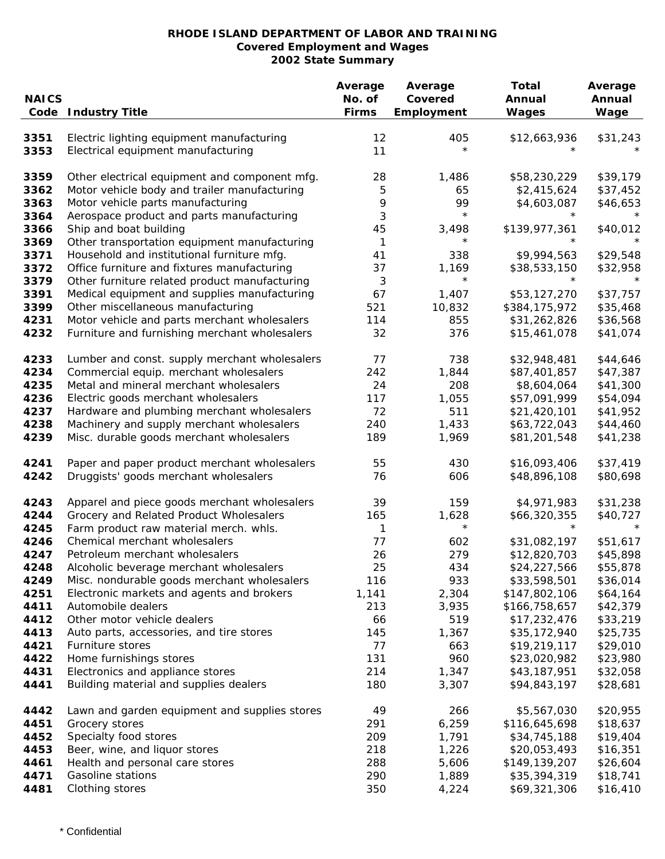| <b>NAICS</b><br>Code | <b>Industry Title</b>                         | Average<br>No. of<br><b>Firms</b> | Average<br>Covered<br>Employment | Total<br>Annual<br>Wages | Average<br>Annual<br>Wage |
|----------------------|-----------------------------------------------|-----------------------------------|----------------------------------|--------------------------|---------------------------|
|                      |                                               |                                   |                                  |                          |                           |
| 3351                 | Electric lighting equipment manufacturing     | 12                                | 405                              | \$12,663,936             | \$31,243                  |
| 3353                 | Electrical equipment manufacturing            | 11                                | $\star$                          |                          |                           |
| 3359                 | Other electrical equipment and component mfg. | 28                                | 1,486                            | \$58,230,229             | \$39,179                  |
| 3362                 | Motor vehicle body and trailer manufacturing  | 5                                 | 65                               | \$2,415,624              | \$37,452                  |
| 3363                 | Motor vehicle parts manufacturing             | 9                                 | 99                               | \$4,603,087              | \$46,653                  |
| 3364                 | Aerospace product and parts manufacturing     | 3                                 | $\star$                          | $^\star$                 |                           |
| 3366                 | Ship and boat building                        | 45                                | 3,498                            | \$139,977,361            | \$40,012                  |
| 3369                 | Other transportation equipment manufacturing  | 1                                 | $\star$                          |                          |                           |
| 3371                 | Household and institutional furniture mfg.    | 41                                | 338                              | \$9,994,563              | \$29,548                  |
| 3372                 | Office furniture and fixtures manufacturing   | 37                                | 1,169                            | \$38,533,150             | \$32,958                  |
| 3379                 | Other furniture related product manufacturing | 3                                 | $\star$                          | $^\star$                 |                           |
| 3391                 | Medical equipment and supplies manufacturing  | 67                                | 1,407                            | \$53,127,270             | \$37,757                  |
| 3399                 | Other miscellaneous manufacturing             | 521                               | 10,832                           | \$384,175,972            | \$35,468                  |
| 4231                 | Motor vehicle and parts merchant wholesalers  | 114                               | 855                              | \$31,262,826             | \$36,568                  |
| 4232                 | Furniture and furnishing merchant wholesalers | 32                                | 376                              | \$15,461,078             | \$41,074                  |
| 4233                 | Lumber and const. supply merchant wholesalers | 77                                | 738                              | \$32,948,481             | \$44,646                  |
| 4234                 | Commercial equip. merchant wholesalers        | 242                               | 1,844                            | \$87,401,857             | \$47,387                  |
| 4235                 | Metal and mineral merchant wholesalers        | 24                                | 208                              | \$8,604,064              | \$41,300                  |
| 4236                 | Electric goods merchant wholesalers           | 117                               | 1,055                            | \$57,091,999             | \$54,094                  |
| 4237                 | Hardware and plumbing merchant wholesalers    | 72                                | 511                              | \$21,420,101             | \$41,952                  |
| 4238                 | Machinery and supply merchant wholesalers     | 240                               | 1,433                            | \$63,722,043             | \$44,460                  |
| 4239                 | Misc. durable goods merchant wholesalers      | 189                               | 1,969                            | \$81,201,548             | \$41,238                  |
| 4241                 | Paper and paper product merchant wholesalers  | 55                                | 430                              | \$16,093,406             | \$37,419                  |
| 4242                 | Druggists' goods merchant wholesalers         | 76                                | 606                              | \$48,896,108             | \$80,698                  |
| 4243                 | Apparel and piece goods merchant wholesalers  | 39                                | 159                              | \$4,971,983              | \$31,238                  |
| 4244                 | Grocery and Related Product Wholesalers       | 165                               | 1,628                            | \$66,320,355             | \$40,727                  |
| 4245                 | Farm product raw material merch. whls.        | 1                                 | $\star$                          | $^\star$                 |                           |
| 4246                 | Chemical merchant wholesalers                 | 77                                | 602                              | \$31,082,197             | \$51,617                  |
| 4247                 | Petroleum merchant wholesalers                | 26                                | 279                              | \$12,820,703             | \$45,898                  |
| 4248                 | Alcoholic beverage merchant wholesalers       | 25                                | 434                              | \$24,227,566             | \$55,878                  |
| 4249                 | Misc. nondurable goods merchant wholesalers   | 116                               | 933                              | \$33,598,501             | \$36,014                  |
| 4251                 | Electronic markets and agents and brokers     | 1,141                             | 2,304                            | \$147,802,106            | \$64,164                  |
| 4411                 | Automobile dealers                            | 213                               | 3,935                            | \$166,758,657            | \$42,379                  |
| 4412                 | Other motor vehicle dealers                   | 66                                | 519                              | \$17,232,476             | \$33,219                  |
| 4413                 | Auto parts, accessories, and tire stores      | 145                               | 1,367                            | \$35,172,940             | \$25,735                  |
| 4421                 | Furniture stores                              | 77                                | 663                              | \$19,219,117             | \$29,010                  |
| 4422                 | Home furnishings stores                       | 131                               | 960                              | \$23,020,982             | \$23,980                  |
| 4431                 | Electronics and appliance stores              | 214                               | 1,347                            | \$43,187,951             | \$32,058                  |
| 4441                 | Building material and supplies dealers        | 180                               | 3,307                            | \$94,843,197             | \$28,681                  |
| 4442                 | Lawn and garden equipment and supplies stores | 49                                | 266                              | \$5,567,030              | \$20,955                  |
| 4451                 | Grocery stores                                | 291                               | 6,259                            | \$116,645,698            | \$18,637                  |
| 4452                 | Specialty food stores                         | 209                               | 1,791                            | \$34,745,188             | \$19,404                  |
| 4453                 | Beer, wine, and liquor stores                 | 218                               | 1,226                            | \$20,053,493             | \$16,351                  |
| 4461                 | Health and personal care stores               | 288                               | 5,606                            | \$149,139,207            | \$26,604                  |
| 4471                 | Gasoline stations                             | 290                               | 1,889                            | \$35,394,319             | \$18,741                  |
| 4481                 | Clothing stores                               | 350                               | 4,224                            | \$69,321,306             | \$16,410                  |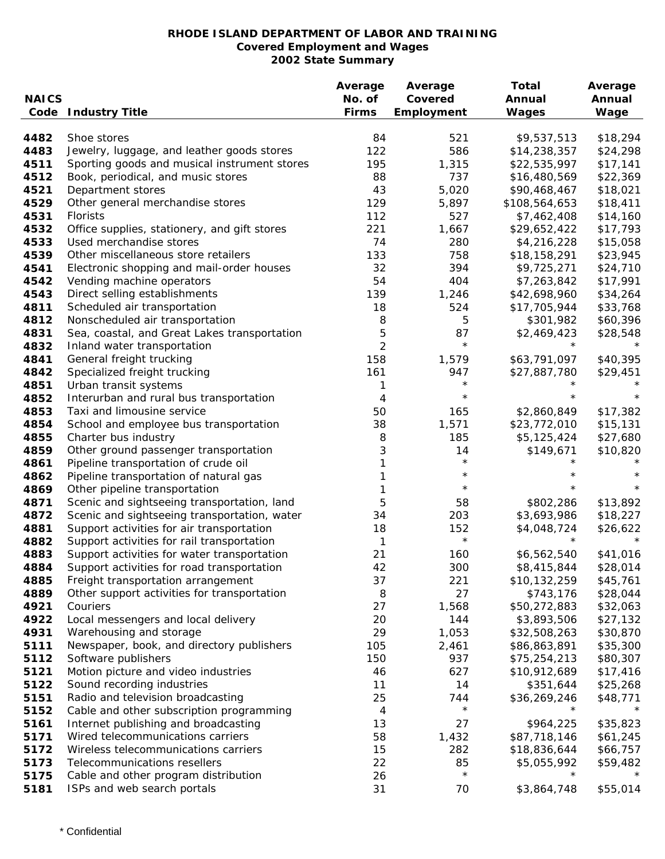|              |                                              | Average        | Average       | Total                  | Average              |
|--------------|----------------------------------------------|----------------|---------------|------------------------|----------------------|
| <b>NAICS</b> |                                              | No. of         | Covered       | Annual                 | Annual               |
|              | <b>Code Industry Title</b>                   | <b>Firms</b>   | Employment    | Wages                  | Wage                 |
| 4482         | Shoe stores                                  | 84             | 521           | \$9,537,513            | \$18,294             |
| 4483         | Jewelry, luggage, and leather goods stores   | 122            | 586           | \$14,238,357           | \$24,298             |
| 4511         | Sporting goods and musical instrument stores | 195            | 1,315         | \$22,535,997           | \$17,141             |
| 4512         | Book, periodical, and music stores           | 88             | 737           | \$16,480,569           | \$22,369             |
| 4521         | Department stores                            | 43             | 5,020         | \$90,468,467           | \$18,021             |
| 4529         | Other general merchandise stores             | 129            | 5,897         | \$108,564,653          | \$18,411             |
| 4531         | <b>Florists</b>                              | 112            | 527           | \$7,462,408            | \$14,160             |
| 4532         | Office supplies, stationery, and gift stores | 221            | 1,667         | \$29,652,422           | \$17,793             |
| 4533         | Used merchandise stores                      | 74             | 280           | \$4,216,228            | \$15,058             |
| 4539         | Other miscellaneous store retailers          | 133            | 758           | \$18,158,291           | \$23,945             |
| 4541         | Electronic shopping and mail-order houses    | 32             | 394           | \$9,725,271            | \$24,710             |
| 4542         | Vending machine operators                    | 54             | 404           | \$7,263,842            | \$17,991             |
| 4543         | Direct selling establishments                | 139            | 1,246         | \$42,698,960           | \$34,264             |
| 4811         | Scheduled air transportation                 | 18             | 524           | \$17,705,944           | \$33,768             |
| 4812         | Nonscheduled air transportation              | 8              | 5             | \$301,982              | \$60,396             |
| 4831         | Sea, coastal, and Great Lakes transportation | 5              | 87            | \$2,469,423            | \$28,548             |
| 4832         | Inland water transportation                  | $\overline{2}$ | $\star$       | $^\star$               |                      |
| 4841         | General freight trucking                     | 158            | 1,579         | \$63,791,097           | \$40,395             |
| 4842         | Specialized freight trucking                 | 161            | 947           | \$27,887,780           | \$29,451             |
| 4851         | Urban transit systems                        | 1              | $\star$       | $^\star$               |                      |
| 4852         | Interurban and rural bus transportation      | 4              | $\star$       | $^\star$               | $\star$              |
| 4853         | Taxi and limousine service                   | 50             | 165           | \$2,860,849            | \$17,382             |
| 4854         | School and employee bus transportation       | 38             | 1,571         | \$23,772,010           | \$15,131             |
| 4855         | Charter bus industry                         | 8              | 185           | \$5,125,424            | \$27,680             |
| 4859         | Other ground passenger transportation        | 3              | 14            | \$149,671              | \$10,820             |
| 4861         | Pipeline transportation of crude oil         |                | $\star$       | $^\star$               |                      |
| 4862         | Pipeline transportation of natural gas       |                | $^\star$      | $^\star$               | $^\star$             |
| 4869         | Other pipeline transportation                |                | $^\star$      | $^\star$               | $^\star$             |
| 4871         | Scenic and sightseeing transportation, land  | 5              | 58            | \$802,286              | \$13,892             |
| 4872         | Scenic and sightseeing transportation, water | 34             | 203           | \$3,693,986            | \$18,227             |
| 4881         | Support activities for air transportation    | 18             | 152           | \$4,048,724            | \$26,622             |
| 4882         | Support activities for rail transportation   | 1              | $\star$       | $^\star$               |                      |
| 4883         | Support activities for water transportation  | 21             | 160           | \$6,562,540            | \$41,016             |
| 4884         | Support activities for road transportation   | 42             | 300           | \$8,415,844            | \$28,014             |
| 4885         | Freight transportation arrangement           | 37             | 221           | \$10,132,259           | \$45,761             |
| 4889         | Other support activities for transportation  | 8              | 27            | \$743,176              | \$28,044             |
| 4921         | Couriers                                     | 27             | 1,568         | \$50,272,883           | \$32,063             |
| 4922         | Local messengers and local delivery          | 20             | 144           | \$3,893,506            | \$27,132             |
| 4931         | Warehousing and storage                      | 29             | 1,053         | \$32,508,263           | \$30,870             |
| 5111         | Newspaper, book, and directory publishers    | 105            | 2,461         | \$86,863,891           | \$35,300             |
| 5112         | Software publishers                          | 150            | 937           | \$75,254,213           | \$80,307             |
| 5121         | Motion picture and video industries          | 46             | 627           | \$10,912,689           | \$17,416             |
| 5122         | Sound recording industries                   | 11             | 14            | \$351,644              | \$25,268             |
| 5151         | Radio and television broadcasting            | 25             | 744           | \$36,269,246           | \$48,771             |
| 5152         | Cable and other subscription programming     | 4              | $\star$       | $^\star$               | $\star$              |
| 5161         | Internet publishing and broadcasting         | 13             | 27            | \$964,225              | \$35,823             |
| 5171         | Wired telecommunications carriers            | 58             | 1,432         | \$87,718,146           | \$61,245             |
| 5172         | Wireless telecommunications carriers         | 15             | 282           | \$18,836,644           | \$66,757             |
| 5173         | Telecommunications resellers                 | 22             | 85<br>$\star$ | \$5,055,992<br>$\star$ | \$59,482<br>$^\star$ |
| 5175         | Cable and other program distribution         | 26             |               |                        |                      |
| 5181         | ISPs and web search portals                  | 31             | 70            | \$3,864,748            | \$55,014             |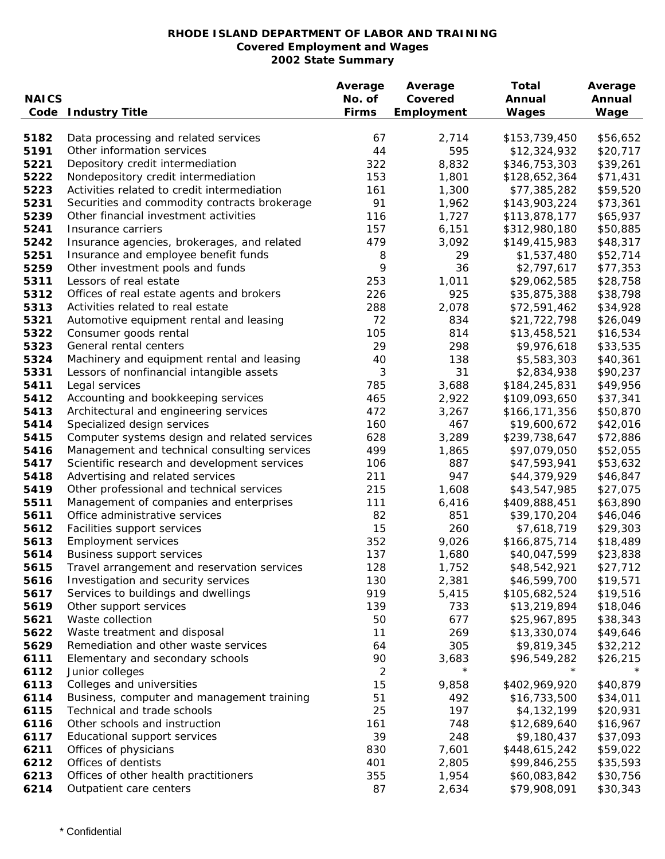|              |                                                       | Average      | Average               | Total                         | Average              |
|--------------|-------------------------------------------------------|--------------|-----------------------|-------------------------------|----------------------|
| <b>NAICS</b> |                                                       | No. of       | Covered<br>Employment | Annual                        | Annual               |
|              | <b>Code Industry Title</b>                            | <b>Firms</b> |                       | Wages                         | Wage                 |
| 5182         | Data processing and related services                  | 67           | 2,714                 | \$153,739,450                 | \$56,652             |
| 5191         | Other information services                            | 44           | 595                   | \$12,324,932                  | \$20,717             |
| 5221         | Depository credit intermediation                      | 322          | 8,832                 | \$346,753,303                 | \$39,261             |
| 5222         | Nondepository credit intermediation                   | 153          | 1,801                 | \$128,652,364                 | \$71,431             |
| 5223         | Activities related to credit intermediation           | 161          | 1,300                 | \$77,385,282                  | \$59,520             |
| 5231         | Securities and commodity contracts brokerage          | 91           | 1,962                 | \$143,903,224                 | \$73,361             |
| 5239         | Other financial investment activities                 | 116          | 1,727                 | \$113,878,177                 | \$65,937             |
| 5241         | Insurance carriers                                    | 157          | 6,151                 | \$312,980,180                 | \$50,885             |
| 5242         | Insurance agencies, brokerages, and related           | 479          | 3,092                 | \$149,415,983                 | \$48,317             |
| 5251         | Insurance and employee benefit funds                  | 8            | 29                    | \$1,537,480                   | \$52,714             |
| 5259         | Other investment pools and funds                      | 9            | 36                    | \$2,797,617                   | \$77,353             |
| 5311         | Lessors of real estate                                | 253          | 1,011                 | \$29,062,585                  | \$28,758             |
| 5312         | Offices of real estate agents and brokers             | 226          | 925                   | \$35,875,388                  | \$38,798             |
| 5313         | Activities related to real estate                     | 288          | 2,078                 | \$72,591,462                  | \$34,928             |
| 5321         | Automotive equipment rental and leasing               | 72           | 834                   | \$21,722,798                  | \$26,049             |
| 5322         | Consumer goods rental                                 | 105          | 814                   | \$13,458,521                  | \$16,534             |
| 5323         | General rental centers                                | 29           | 298                   | \$9,976,618                   | \$33,535             |
| 5324         | Machinery and equipment rental and leasing            | 40           | 138                   | \$5,583,303                   | \$40,361             |
| 5331         | Lessors of nonfinancial intangible assets             | 3            | 31                    | \$2,834,938                   | \$90,237             |
| 5411         | Legal services                                        | 785          | 3,688                 | \$184,245,831                 | \$49,956             |
| 5412         | Accounting and bookkeeping services                   | 465          | 2,922                 | \$109,093,650                 | \$37,341             |
| 5413         | Architectural and engineering services                | 472          | 3,267                 | \$166,171,356                 | \$50,870             |
| 5414         | Specialized design services                           | 160          | 467                   | \$19,600,672                  | \$42,016             |
| 5415         | Computer systems design and related services          | 628          | 3,289                 | \$239,738,647                 | \$72,886             |
| 5416         | Management and technical consulting services          | 499          | 1,865                 | \$97,079,050                  | \$52,055             |
| 5417         | Scientific research and development services          | 106          | 887                   | \$47,593,941                  | \$53,632             |
| 5418         | Advertising and related services                      | 211          | 947                   | \$44,379,929                  | \$46,847             |
| 5419         | Other professional and technical services             | 215          | 1,608                 | \$43,547,985                  | \$27,075             |
| 5511         | Management of companies and enterprises               | 111          | 6,416                 | \$409,888,451                 | \$63,890             |
| 5611         | Office administrative services                        | 82           | 851                   | \$39,170,204                  | \$46,046             |
| 5612         | Facilities support services                           | 15           | 260                   | \$7,618,719                   | \$29,303             |
| 5613         | <b>Employment services</b>                            | 352          | 9,026                 | \$166,875,714                 | \$18,489             |
| 5614         | Business support services                             | 137          | 1,680                 | \$40,047,599                  | \$23,838             |
| 5615         | Travel arrangement and reservation services           | 128          | 1,752                 | \$48,542,921                  | \$27,712             |
| 5616         | Investigation and security services                   | 130          | 2,381                 | \$46,599,700                  | \$19,571             |
| 5617         | Services to buildings and dwellings                   | 919          | 5,415                 | \$105,682,524                 | \$19,516             |
| 5619         | Other support services                                | 139          | 733                   | \$13,219,894                  | \$18,046             |
| 5621         | Waste collection                                      | 50           | 677                   | \$25,967,895                  | \$38,343             |
| 5622         | Waste treatment and disposal                          | 11           | 269                   | \$13,330,074                  | \$49,646             |
| 5629         | Remediation and other waste services                  | 64           | 305                   | \$9,819,345                   | \$32,212             |
| 6111         | Elementary and secondary schools                      | 90           | 3,683<br>$^\star$     | \$96,549,282<br>$\star$       | \$26,215             |
| 6112         | Junior colleges                                       | 2            |                       |                               |                      |
| 6113         | Colleges and universities                             | 15           | 9,858                 | \$402,969,920                 | \$40,879             |
| 6114         | Business, computer and management training            | 51           | 492                   | \$16,733,500                  | \$34,011             |
| 6115         | Technical and trade schools                           | 25           | 197                   | \$4,132,199                   | \$20,931             |
| 6116         | Other schools and instruction                         | 161          | 748                   | \$12,689,640                  | \$16,967             |
| 6117<br>6211 | Educational support services<br>Offices of physicians | 39<br>830    | 248<br>7,601          | \$9,180,437                   | \$37,093             |
| 6212         | Offices of dentists                                   | 401          | 2,805                 | \$448,615,242<br>\$99,846,255 | \$59,022<br>\$35,593 |
| 6213         | Offices of other health practitioners                 | 355          | 1,954                 | \$60,083,842                  | \$30,756             |
| 6214         | Outpatient care centers                               | 87           | 2,634                 | \$79,908,091                  | \$30,343             |
|              |                                                       |              |                       |                               |                      |